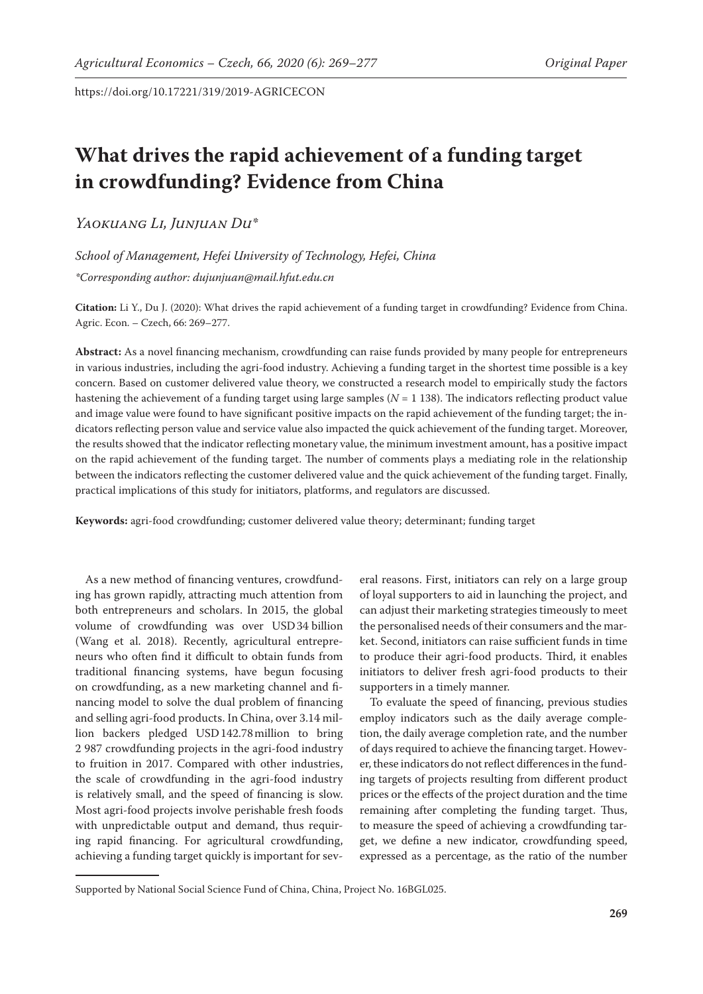# **What drives the rapid achievement of a funding target in crowdfunding? Evidence from China**

*Yaokuang Li, Junjuan Du\**

*School of Management, Hefei University of Technology, Hefei, China \*Corresponding author: dujunjuan@mail.hfut.edu.cn*

**Citation:** Li Y., Du J. (2020): What drives the rapid achievement of a funding target in crowdfunding? Evidence from China. Agric. Econ. – Czech, 66: 269–277.

**Abstract:** As a novel financing mechanism, crowdfunding can raise funds provided by many people for entrepreneurs in various industries, including the agri-food industry. Achieving a funding target in the shortest time possible is a key concern. Based on customer delivered value theory, we constructed a research model to empirically study the factors hastening the achievement of a funding target using large samples (*N* = 1 138). The indicators reflecting product value and image value were found to have significant positive impacts on the rapid achievement of the funding target; the indicators reflecting person value and service value also impacted the quick achievement of the funding target. Moreover, the results showed that the indicator reflecting monetary value, the minimum investment amount, has a positive impact on the rapid achievement of the funding target. The number of comments plays a mediating role in the relationship between the indicators reflecting the customer delivered value and the quick achievement of the funding target. Finally, practical implications of this study for initiators, platforms, and regulators are discussed.

**Keywords:** agri-food crowdfunding; customer delivered value theory; determinant; funding target

As a new method of financing ventures, crowdfunding has grown rapidly, attracting much attention from both entrepreneurs and scholars. In 2015, the global volume of crowdfunding was over USD34 billion (Wang et al. 2018). Recently, agricultural entrepreneurs who often find it difficult to obtain funds from traditional financing systems, have begun focusing on crowdfunding, as a new marketing channel and financing model to solve the dual problem of financing and selling agri-food products. In China, over 3.14 million backers pledged USD142.78million to bring 2 987 crowdfunding projects in the agri-food industry to fruition in 2017. Compared with other industries, the scale of crowdfunding in the agri-food industry is relatively small, and the speed of financing is slow. Most agri-food projects involve perishable fresh foods with unpredictable output and demand, thus requiring rapid financing. For agricultural crowdfunding, achieving a funding target quickly is important for sev-

eral reasons. First, initiators can rely on a large group of loyal supporters to aid in launching the project, and can adjust their marketing strategies timeously to meet the personalised needs of their consumers and the market. Second, initiators can raise sufficient funds in time to produce their agri-food products. Third, it enables initiators to deliver fresh agri-food products to their supporters in a timely manner.

To evaluate the speed of financing, previous studies employ indicators such as the daily average completion, the daily average completion rate, and the number of days required to achieve the financing target. However, these indicators do not reflect differences in the funding targets of projects resulting from different product prices or the effects of the project duration and the time remaining after completing the funding target. Thus, to measure the speed of achieving a crowdfunding target, we define a new indicator, crowdfunding speed, expressed as a percentage, as the ratio of the number

Supported by National Social Science Fund of China, China, Project No. 16BGL025.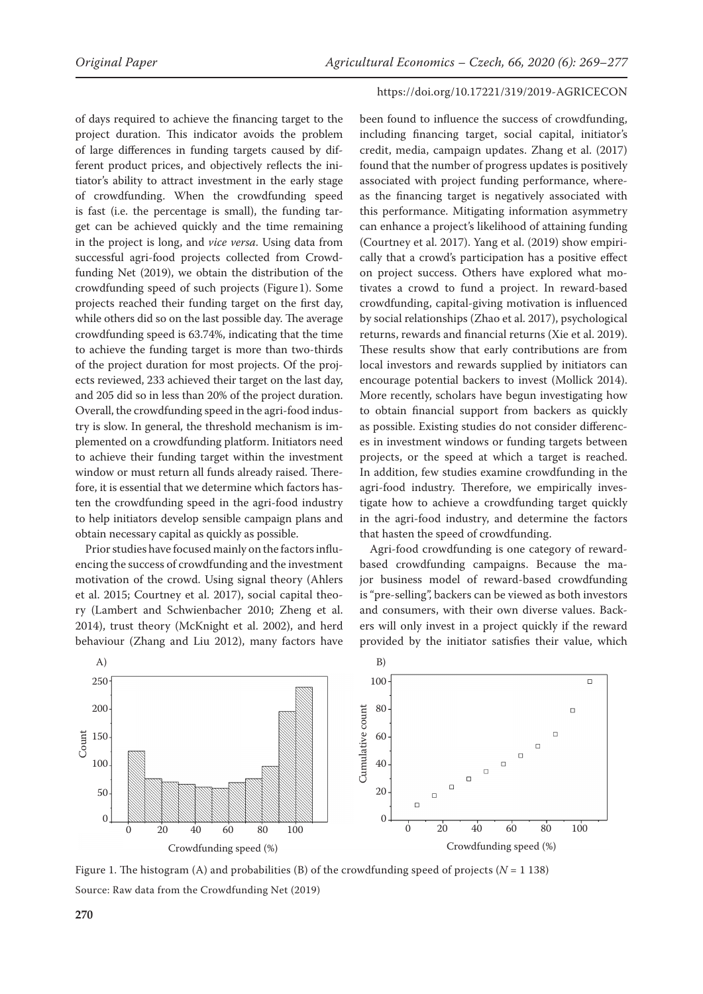of days required to achieve the financing target to the project duration. This indicator avoids the problem of large differences in funding targets caused by different product prices, and objectively reflects the initiator's ability to attract investment in the early stage of crowdfunding. When the crowdfunding speed is fast (i.e. the percentage is small), the funding target can be achieved quickly and the time remaining in the project is long, and *vice versa*. Using data from successful agri-food projects collected from Crowdfunding Net (2019), we obtain the distribution of the crowdfunding speed of such projects (Figure1). Some projects reached their funding target on the first day, while others did so on the last possible day. The average crowdfunding speed is 63.74%, indicating that the time to achieve the funding target is more than two-thirds of the project duration for most projects. Of the projects reviewed, 233 achieved their target on the last day, and 205 did so in less than 20% of the project duration. Overall, the crowdfunding speed in the agri-food industry is slow. In general, the threshold mechanism is implemented on a crowdfunding platform. Initiators need to achieve their funding target within the investment window or must return all funds already raised. Therefore, it is essential that we determine which factors hasten the crowdfunding speed in the agri-food industry to help initiators develop sensible campaign plans and obtain necessary capital as quickly as possible.

Prior studies have focused mainly on the factors influencing the success of crowdfunding and the investment motivation of the crowd. Using signal theory (Ahlers et al. 2015; Courtney et al. 2017), social capital theory (Lambert and Schwienbacher 2010; Zheng et al. 2014), trust theory (McKnight et al. 2002), and herd behaviour (Zhang and Liu 2012), many factors have

#### https://doi.org/10.17221/319/2019-AGRICECON

been found to influence the success of crowdfunding, including financing target, social capital, initiator's credit, media, campaign updates. Zhang et al. (2017) found that the number of progress updates is positively associated with project funding performance, whereas the financing target is negatively associated with this performance. Mitigating information asymmetry can enhance a project's likelihood of attaining funding (Courtney et al. 2017). Yang et al. (2019) show empirically that a crowd's participation has a positive effect on project success. Others have explored what motivates a crowd to fund a project. In reward-based crowdfunding, capital-giving motivation is influenced by social relationships (Zhao et al. 2017), psychological returns, rewards and financial returns (Xie et al. 2019). These results show that early contributions are from local investors and rewards supplied by initiators can encourage potential backers to invest (Mollick 2014). More recently, scholars have begun investigating how to obtain financial support from backers as quickly as possible. Existing studies do not consider differences in investment windows or funding targets between projects, or the speed at which a target is reached. In addition, few studies examine crowdfunding in the agri-food industry. Therefore, we empirically investigate how to achieve a crowdfunding target quickly in the agri-food industry, and determine the factors that hasten the speed of crowdfunding.

Agri-food crowdfunding is one category of rewardbased crowdfunding campaigns. Because the major business model of reward-based crowdfunding is "pre-selling", backers can be viewed as both investors and consumers, with their own diverse values. Backers will only invest in a project quickly if the reward provided by the initiator satisfies their value, which



Figure 1. The histogram (A) and probabilities (B) of the crowdfunding speed of projects ( $N = 1138$ ) Source: Raw data from the Crowdfunding Net (2019)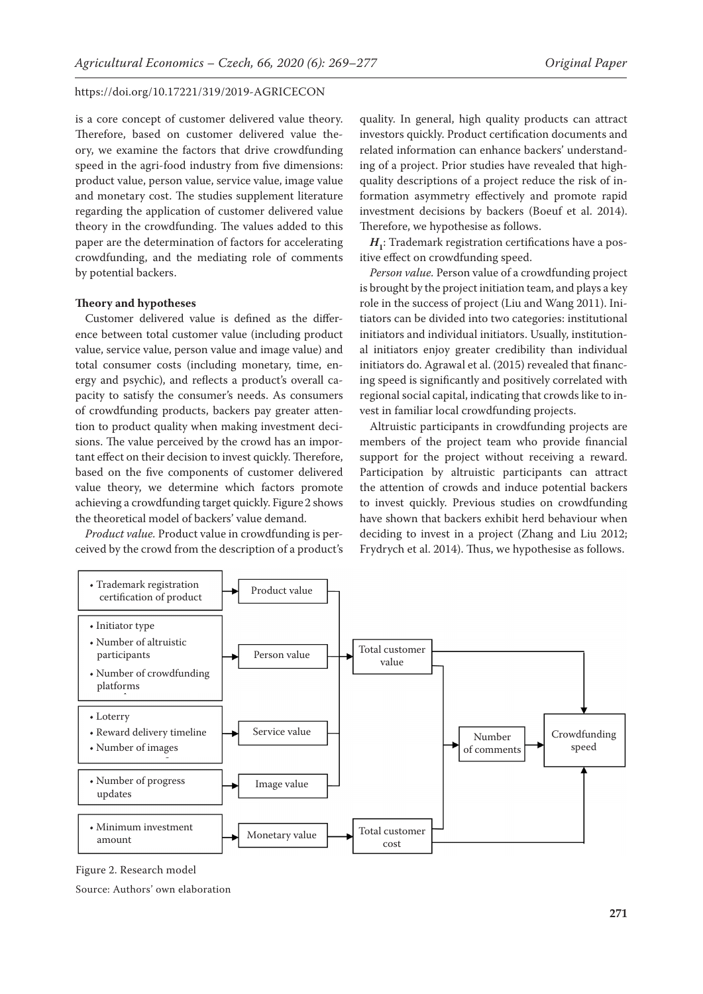is a core concept of customer delivered value theory. Therefore, based on customer delivered value theory, we examine the factors that drive crowdfunding speed in the agri-food industry from five dimensions: product value, person value, service value, image value and monetary cost. The studies supplement literature regarding the application of customer delivered value theory in the crowdfunding. The values added to this paper are the determination of factors for accelerating crowdfunding, and the mediating role of comments by potential backers.

### **Theory and hypotheses**

Customer delivered value is defined as the difference between total customer value (including product value, service value, person value and image value) and total consumer costs (including monetary, time, energy and psychic), and reflects a product's overall capacity to satisfy the consumer's needs. As consumers of crowdfunding products, backers pay greater attention to product quality when making investment decisions. The value perceived by the crowd has an important effect on their decision to invest quickly. Therefore, based on the five components of customer delivered value theory, we determine which factors promote achieving a crowdfunding target quickly. Figure2 shows the theoretical model of backers' value demand.

*Product value.* Product value in crowdfunding is perceived by the crowd from the description of a product's

quality. In general, high quality products can attract investors quickly. Product certification documents and related information can enhance backers' understanding of a project. Prior studies have revealed that highquality descriptions of a project reduce the risk of information asymmetry effectively and promote rapid investment decisions by backers (Boeuf et al. 2014). Therefore, we hypothesise as follows.

 $H_1$ : Trademark registration certifications have a positive effect on crowdfunding speed.

*Person value.* Person value of a crowdfunding project is brought by the project initiation team, and plays a key role in the success of project (Liu and Wang 2011). Initiators can be divided into two categories: institutional initiators and individual initiators. Usually, institutional initiators enjoy greater credibility than individual initiators do. Agrawal et al. (2015) revealed that financing speed is significantly and positively correlated with regional social capital, indicating that crowds like to invest in familiar local crowdfunding projects.

Altruistic participants in crowdfunding projects are members of the project team who provide financial support for the project without receiving a reward. Participation by altruistic participants can attract the attention of crowds and induce potential backers to invest quickly. Previous studies on crowdfunding have shown that backers exhibit herd behaviour when deciding to invest in a project (Zhang and Liu 2012; Frydrych et al. 2014). Thus, we hypothesise as follows.



Figure 2. Research model

Source: Authors' own elaboration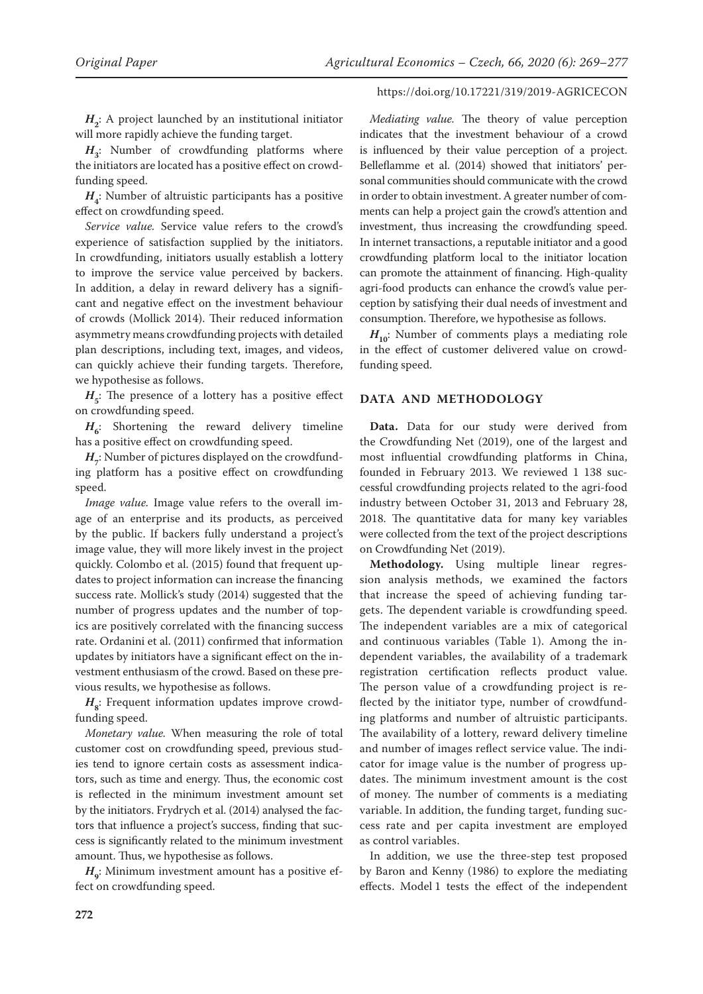*H***2** : A project launched by an institutional initiator will more rapidly achieve the funding target.

*H***3** : Number of crowdfunding platforms where the initiators are located has a positive effect on crowdfunding speed.

*H***4** : Number of altruistic participants has a positive effect on crowdfunding speed.

*Service value.* Service value refers to the crowd's experience of satisfaction supplied by the initiators. In crowdfunding, initiators usually establish a lottery to improve the service value perceived by backers. In addition, a delay in reward delivery has a significant and negative effect on the investment behaviour of crowds (Mollick 2014). Their reduced information asymmetry means crowdfunding projects with detailed plan descriptions, including text, images, and videos, can quickly achieve their funding targets. Therefore, we hypothesise as follows.

 $H<sub>5</sub>$ : The presence of a lottery has a positive effect on crowdfunding speed.

 $H_{6}$ : Shortening the reward delivery timeline has a positive effect on crowdfunding speed.

 $H_{7}$ : Number of pictures displayed on the crowdfunding platform has a positive effect on crowdfunding speed.

*Image value.* Image value refers to the overall image of an enterprise and its products, as perceived by the public. If backers fully understand a project's image value, they will more likely invest in the project quickly. Colombo et al. (2015) found that frequent updates to project information can increase the financing success rate. Mollick's study (2014) suggested that the number of progress updates and the number of topics are positively correlated with the financing success rate. Ordanini et al. (2011) confirmed that information updates by initiators have a significant effect on the investment enthusiasm of the crowd. Based on these previous results, we hypothesise as follows.

 $H_{\rm g}$ : Frequent information updates improve crowdfunding speed.

*Monetary value.* When measuring the role of total customer cost on crowdfunding speed, previous studies tend to ignore certain costs as assessment indicators, such as time and energy. Thus, the economic cost is reflected in the minimum investment amount set by the initiators. Frydrych et al. (2014) analysed the factors that influence a project's success, finding that success is significantly related to the minimum investment amount. Thus, we hypothesise as follows.

 $H$ <sub>9</sub>: Minimum investment amount has a positive effect on crowdfunding speed.

# https://doi.org/10.17221/319/2019-AGRICECON

*Mediating value.* The theory of value perception indicates that the investment behaviour of a crowd is influenced by their value perception of a project. Belleflamme et al. (2014) showed that initiators' personal communities should communicate with the crowd in order to obtain investment. A greater number of comments can help a project gain the crowd's attention and investment, thus increasing the crowdfunding speed. In internet transactions, a reputable initiator and a good crowdfunding platform local to the initiator location can promote the attainment of financing. High-quality agri-food products can enhance the crowd's value perception by satisfying their dual needs of investment and consumption. Therefore, we hypothesise as follows.

 $H_{10}$ : Number of comments plays a mediating role in the effect of customer delivered value on crowdfunding speed.

# **DATA AND METHODOLOGY**

**Data.** Data for our study were derived from the Crowdfunding Net (2019), one of the largest and most influential crowdfunding platforms in China, founded in February 2013. We reviewed 1 138 successful crowdfunding projects related to the agri-food industry between October 31, 2013 and February 28, 2018. The quantitative data for many key variables were collected from the text of the project descriptions on Crowdfunding Net (2019).

**Methodology.** Using multiple linear regression analysis methods, we examined the factors that increase the speed of achieving funding targets. The dependent variable is crowdfunding speed. The independent variables are a mix of categorical and continuous variables (Table 1). Among the independent variables, the availability of a trademark registration certification reflects product value. The person value of a crowdfunding project is reflected by the initiator type, number of crowdfunding platforms and number of altruistic participants. The availability of a lottery, reward delivery timeline and number of images reflect service value. The indicator for image value is the number of progress updates. The minimum investment amount is the cost of money. The number of comments is a mediating variable. In addition, the funding target, funding success rate and per capita investment are employed as control variables.

In addition, we use the three-step test proposed by Baron and Kenny (1986) to explore the mediating effects. Model 1 tests the effect of the independent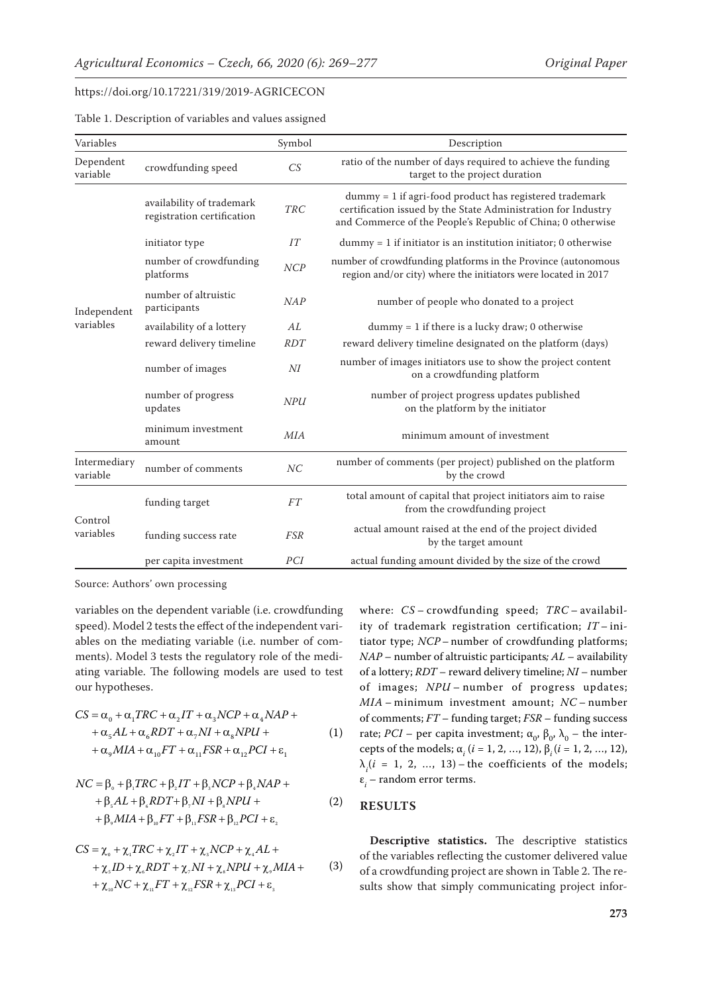|  |  |  | Table 1. Description of variables and values assigned |  |  |  |  |  |  |  |  |  |
|--|--|--|-------------------------------------------------------|--|--|--|--|--|--|--|--|--|
|--|--|--|-------------------------------------------------------|--|--|--|--|--|--|--|--|--|

| Variables                |                                                         | Symbol         | Description                                                                                                                                                                               |
|--------------------------|---------------------------------------------------------|----------------|-------------------------------------------------------------------------------------------------------------------------------------------------------------------------------------------|
| Dependent<br>variable    | crowdfunding speed                                      | CS             | ratio of the number of days required to achieve the funding<br>target to the project duration                                                                                             |
|                          | availability of trademark<br>registration certification | <b>TRC</b>     | $dummy = 1$ if agri-food product has registered trademark<br>certification issued by the State Administration for Industry<br>and Commerce of the People's Republic of China; 0 otherwise |
| Independent<br>variables | initiator type                                          | IT             | $dummy = 1$ if initiator is an institution initiator; 0 otherwise                                                                                                                         |
|                          | number of crowdfunding<br>platforms                     | NCP            | number of crowdfunding platforms in the Province (autonomous<br>region and/or city) where the initiators were located in 2017                                                             |
|                          | number of altruistic<br>participants                    | NAP            | number of people who donated to a project                                                                                                                                                 |
|                          | availability of a lottery                               | AL             | $dummy = 1$ if there is a lucky draw; 0 otherwise                                                                                                                                         |
|                          | reward delivery timeline                                | <b>RDT</b>     | reward delivery timeline designated on the platform (days)                                                                                                                                |
|                          | number of images                                        | $N\!I$         | number of images initiators use to show the project content<br>on a crowdfunding platform                                                                                                 |
|                          | number of progress<br>updates                           | <b>NPU</b>     | number of project progress updates published<br>on the platform by the initiator                                                                                                          |
|                          | minimum investment<br>amount                            | <b>MIA</b>     | minimum amount of investment                                                                                                                                                              |
| Intermediary<br>variable | number of comments                                      | NC             | number of comments (per project) published on the platform<br>by the crowd                                                                                                                |
| Control<br>variables     | funding target                                          | FT <sup></sup> | total amount of capital that project initiators aim to raise<br>from the crowdfunding project                                                                                             |
|                          | funding success rate                                    | <b>FSR</b>     | actual amount raised at the end of the project divided<br>by the target amount                                                                                                            |
|                          | per capita investment                                   | PCI            | actual funding amount divided by the size of the crowd                                                                                                                                    |

Source: Authors' own processing

variables on the dependent variable (i.e. crowdfunding speed). Model 2 tests the effect of the independent variables on the mediating variable (i.e. number of comments). Model 3 tests the regulatory role of the mediating variable. The following models are used to test our hypotheses.

$$
CS = \alpha_0 + \alpha_1 TRC + \alpha_2 IT + \alpha_3 NCP + \alpha_4 NAP +
$$
  
+ 
$$
\alpha_5 AL + \alpha_6 RDT + \alpha_7 NI + \alpha_8 NPU +
$$
  
+ 
$$
\alpha_9 MIA + \alpha_{10} FT + \alpha_{11} FSR + \alpha_{12} PCI + \varepsilon_1
$$
 (1)

$$
NC = \beta_{0} + \beta_{1}TRC + \beta_{2}IT + \beta_{3}NCP + \beta_{4}NAP + + \beta_{5}AL + \beta_{6}RDT + \beta_{7}NI + \beta_{8}NPU + + \beta_{9}MIA + \beta_{10}FT + \beta_{11}FSR + \beta_{12}PCI + \varepsilon_{2}
$$
 (2)

$$
CS = \chi_{\circ} + \chi_{\circ} TRC + \chi_{\circ} TT + \chi_{\circ} NCP + \chi_{\circ} AL +
$$
  
+  $\chi_{\circ} ID + \chi_{\circ} RDT + \chi_{\circ} NI + \chi_{\circ} NPU + \chi_{\circ} MIA +$   
+  $\chi_{\circ} NC + \chi_{\circ} FT + \chi_{\circ} FSR + \chi_{\circ} PCI + \varepsilon_{\circ}$  (3)

where: *CS* – crowdfunding speed; *TRC* – availability of trademark registration certification; *IT* – initiator type; *NCP* – number of crowdfunding platforms; *NAP* – number of altruistic participants*; AL* – availability of a lottery; *RDT* – reward delivery timeline; *NI* – number of images; *NPU* – number of progress updates; *MIA* – minimum investment amount; *NC* – number of comments; *FT* – funding target; *FSR* – funding success rate; *PCI* – per capita investment;  $\alpha$ <sub>0</sub>,  $\beta$ <sub>0</sub>,  $\lambda$ <sub>0</sub> – the intercepts of the models;  $\alpha_i$  (*i* = 1, 2, ..., 12),  $\beta_i$  (*i* = 1, 2, ..., 12),  $\lambda_i$ ( $i = 1, 2, ..., 13$ ) – the coefficients of the models; ε*i* – random error terms.

# **RESULTS**

**Descriptive statistics.** The descriptive statistics of the variables reflecting the customer delivered value of a crowdfunding project are shown in Table 2. The results show that simply communicating project infor-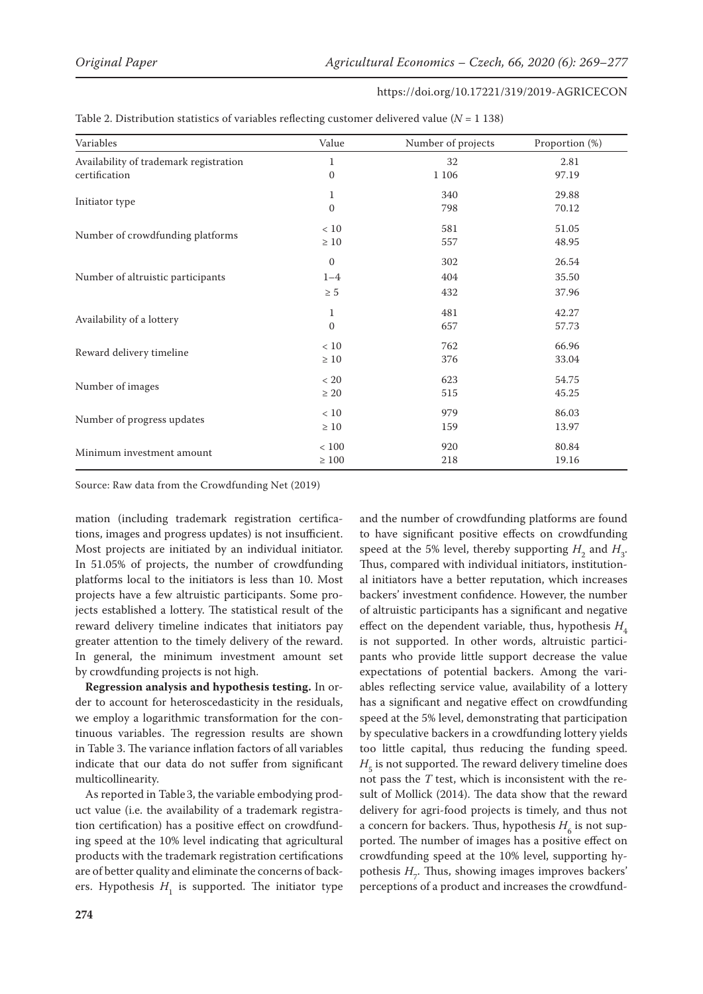| Variables                              | Value        | Number of projects | Proportion (%) |  |
|----------------------------------------|--------------|--------------------|----------------|--|
| Availability of trademark registration | $\mathbf{1}$ | 32                 | 2.81           |  |
| certification                          | $\mathbf{0}$ | 1 1 0 6            | 97.19          |  |
|                                        | $\mathbf{1}$ | 340                | 29.88          |  |
| Initiator type                         | $\mathbf{0}$ | 798                | 70.12          |  |
|                                        | $<10$        | 581                | 51.05          |  |
| Number of crowdfunding platforms       | $\geq 10$    | 557                | 48.95          |  |
|                                        | $\mathbf{0}$ | 302                | 26.54          |  |
| Number of altruistic participants      | $1 - 4$      | 404                | 35.50          |  |
|                                        | $\geq 5$     | 432                | 37.96          |  |
|                                        | 1            | 481                | 42.27          |  |
| Availability of a lottery              | $\mathbf{0}$ | 657                | 57.73          |  |
|                                        | < 10         | 762                | 66.96          |  |
| Reward delivery timeline               | $\geq 10$    | 376                | 33.04          |  |
|                                        | < 20         | 623                | 54.75          |  |
| Number of images                       | $\geq 20$    | 515                | 45.25          |  |
|                                        | < 10         | 979                | 86.03          |  |
| Number of progress updates             | $\geq 10$    | 159                | 13.97          |  |
|                                        | $<100$       | 920                | 80.84          |  |
| Minimum investment amount              | $\geq 100$   | 218                | 19.16          |  |

| Table 2. Distribution statistics of variables reflecting customer delivered value ( $N = 1$ 138) |  |
|--------------------------------------------------------------------------------------------------|--|
|--------------------------------------------------------------------------------------------------|--|

Source: Raw data from the Crowdfunding Net (2019)

mation (including trademark registration certifications, images and progress updates) is not insufficient. Most projects are initiated by an individual initiator. In 51.05% of projects, the number of crowdfunding platforms local to the initiators is less than 10. Most projects have a few altruistic participants. Some projects established a lottery. The statistical result of the reward delivery timeline indicates that initiators pay greater attention to the timely delivery of the reward. In general, the minimum investment amount set by crowdfunding projects is not high.

**Regression analysis and hypothesis testing.** In order to account for heteroscedasticity in the residuals, we employ a logarithmic transformation for the continuous variables. The regression results are shown in Table 3. The variance inflation factors of all variables indicate that our data do not suffer from significant multicollinearity.

As reported in Table3, the variable embodying product value (i.e. the availability of a trademark registration certification) has a positive effect on crowdfunding speed at the 10% level indicating that agricultural products with the trademark registration certifications are of better quality and eliminate the concerns of backers. Hypothesis  $H_1$  is supported. The initiator type and the number of crowdfunding platforms are found to have significant positive effects on crowdfunding speed at the 5% level, thereby supporting  $H_2$  and  $H_3$ . Thus, compared with individual initiators, institutional initiators have a better reputation, which increases backers' investment confidence. However, the number of altruistic participants has a significant and negative effect on the dependent variable, thus, hypothesis  $H<sub>4</sub>$ is not supported. In other words, altruistic participants who provide little support decrease the value expectations of potential backers. Among the variables reflecting service value, availability of a lottery has a significant and negative effect on crowdfunding speed at the 5% level, demonstrating that participation by speculative backers in a crowdfunding lottery yields too little capital, thus reducing the funding speed.  $H<sub>5</sub>$  is not supported. The reward delivery timeline does not pass the *T* test, which is inconsistent with the result of Mollick (2014). The data show that the reward delivery for agri-food projects is timely, and thus not a concern for backers. Thus, hypothesis  $H_6$  is not supported. The number of images has a positive effect on crowdfunding speed at the 10% level, supporting hypothesis  $H_7$ . Thus, showing images improves backers' perceptions of a product and increases the crowdfund-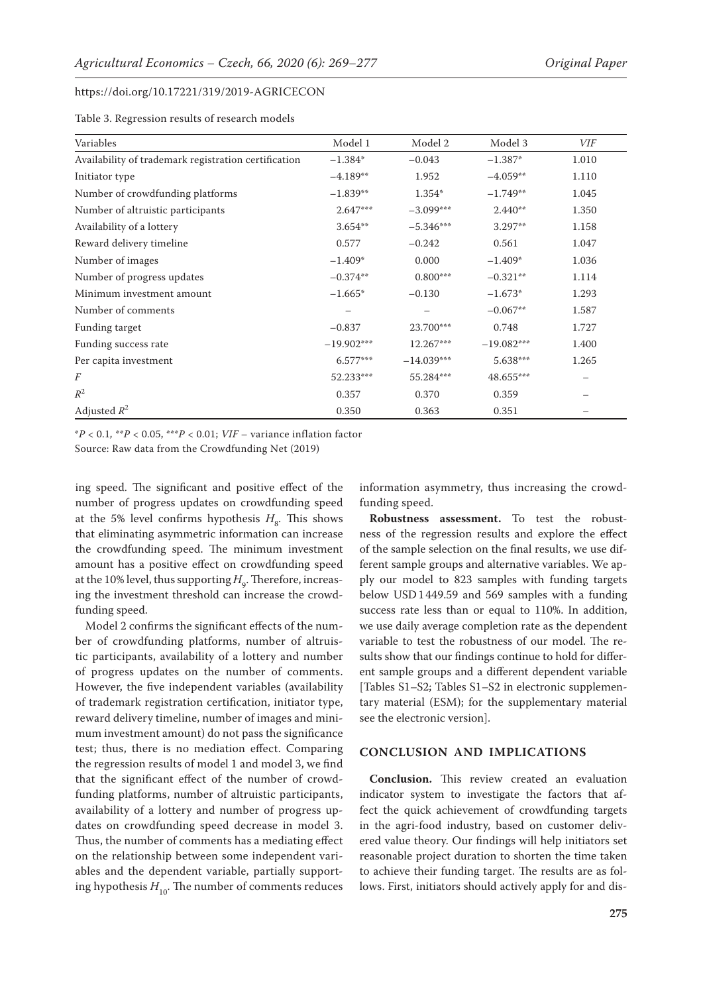Table 3. Regression results of research models

| Variables                                            | Model 1      | Model 2      | Model 3      | VIF   |
|------------------------------------------------------|--------------|--------------|--------------|-------|
| Availability of trademark registration certification | $-1.384*$    | $-0.043$     | $-1.387*$    | 1.010 |
| Initiator type                                       | $-4.189**$   | 1.952        | $-4.059**$   | 1.110 |
| Number of crowdfunding platforms                     | $-1.839**$   | 1.354*       | $-1.749**$   | 1.045 |
| Number of altruistic participants                    | $2.647***$   | $-3.099***$  | $2.440**$    | 1.350 |
| Availability of a lottery                            | $3.654**$    | $-5.346***$  | $3.297**$    | 1.158 |
| Reward delivery timeline                             | 0.577        | $-0.242$     | 0.561        | 1.047 |
| Number of images                                     | $-1.409*$    | 0.000        | $-1.409*$    | 1.036 |
| Number of progress updates                           | $-0.374**$   | $0.800***$   | $-0.321**$   | 1.114 |
| Minimum investment amount                            | $-1.665*$    | $-0.130$     | $-1.673*$    | 1.293 |
| Number of comments                                   | —            |              | $-0.067**$   | 1.587 |
| Funding target                                       | $-0.837$     | 23.700***    | 0.748        | 1.727 |
| Funding success rate                                 | $-19.902***$ | 12.267***    | $-19.082***$ | 1.400 |
| Per capita investment                                | $6.577***$   | $-14.039***$ | 5.638***     | 1.265 |
| F                                                    | 52.233***    | 55.284***    | 48.655***    | —     |
| $\mathbb{R}^2$                                       | 0.357        | 0.370        | 0.359        |       |
| Adjusted $R^2$                                       | 0.350        | 0.363        | 0.351        |       |

\**P* < 0.1*,* \*\**P* < 0.05, \*\*\**P* < 0.01; *VIF* – variance inflation factor Source: Raw data from the Crowdfunding Net (2019)

ing speed. The significant and positive effect of the number of progress updates on crowdfunding speed at the 5% level confirms hypothesis  $H_{\rm g}$ . This shows that eliminating asymmetric information can increase the crowdfunding speed. The minimum investment amount has a positive effect on crowdfunding speed at the 10% level, thus supporting  $H<sub>9</sub>$ . Therefore, increasing the investment threshold can increase the crowdfunding speed.

Model 2 confirms the significant effects of the number of crowdfunding platforms, number of altruistic participants, availability of a lottery and number of progress updates on the number of comments. However, the five independent variables (availability of trademark registration certification, initiator type, reward delivery timeline, number of images and minimum investment amount) do not pass the significance test; thus, there is no mediation effect. Comparing the regression results of model 1 and model 3, we find that the significant effect of the number of crowdfunding platforms, number of altruistic participants, availability of a lottery and number of progress updates on crowdfunding speed decrease in model 3. Thus, the number of comments has a mediating effect on the relationship between some independent variables and the dependent variable, partially supporting hypothesis  $H_{10}$ . The number of comments reduces information asymmetry, thus increasing the crowdfunding speed.

**Robustness assessment.** To test the robustness of the regression results and explore the effect of the sample selection on the final results, we use different sample groups and alternative variables. We apply our model to 823 samples with funding targets below USD1449.59 and 569 samples with a funding success rate less than or equal to 110%. In addition, we use daily average completion rate as the dependent variable to test the robustness of our model. The results show that our findings continue to hold for different sample groups and a different dependent variable [[Tables S1–S2; Tables S1–S2 in electronic supplemen](https://www.agriculturejournals.cz/publicFiles/336649.pdf)[tary material \(ESM\); for the supplementary material](https://www.agriculturejournals.cz/publicFiles/336649.pdf) [see the electronic version\].](https://www.agriculturejournals.cz/publicFiles/336649.pdf)

# **CONCLUSION AND IMPLICATIONS**

**Conclusion.** This review created an evaluation indicator system to investigate the factors that affect the quick achievement of crowdfunding targets in the agri-food industry, based on customer delivered value theory. Our findings will help initiators set reasonable project duration to shorten the time taken to achieve their funding target. The results are as follows. First, initiators should actively apply for and dis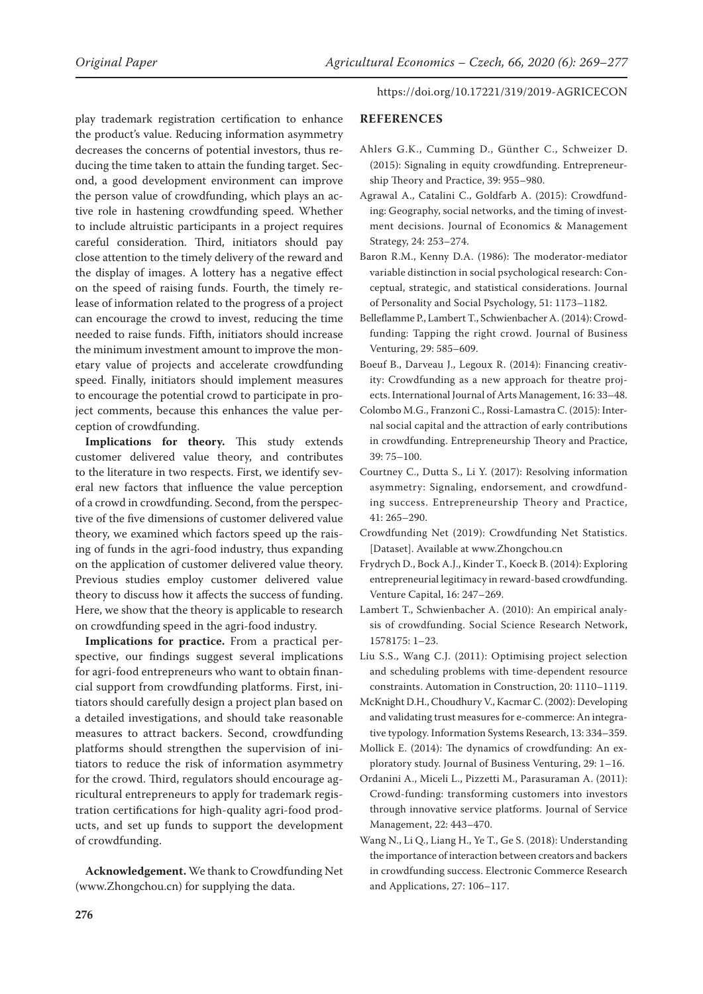play trademark registration certification to enhance the product's value. Reducing information asymmetry decreases the concerns of potential investors, thus reducing the time taken to attain the funding target. Second, a good development environment can improve the person value of crowdfunding, which plays an active role in hastening crowdfunding speed. Whether to include altruistic participants in a project requires careful consideration. Third, initiators should pay close attention to the timely delivery of the reward and the display of images. A lottery has a negative effect on the speed of raising funds. Fourth, the timely release of information related to the progress of a project can encourage the crowd to invest, reducing the time needed to raise funds. Fifth, initiators should increase the minimum investment amount to improve the monetary value of projects and accelerate crowdfunding speed. Finally, initiators should implement measures to encourage the potential crowd to participate in project comments, because this enhances the value perception of crowdfunding.

**Implications for theory.** This study extends customer delivered value theory, and contributes to the literature in two respects. First, we identify several new factors that influence the value perception of a crowd in crowdfunding. Second, from the perspective of the five dimensions of customer delivered value theory, we examined which factors speed up the raising of funds in the agri-food industry, thus expanding on the application of customer delivered value theory. Previous studies employ customer delivered value theory to discuss how it affects the success of funding. Here, we show that the theory is applicable to research on crowdfunding speed in the agri-food industry.

**Implications for practice.** From a practical perspective, our findings suggest several implications for agri-food entrepreneurs who want to obtain financial support from crowdfunding platforms. First, initiators should carefully design a project plan based on a detailed investigations, and should take reasonable measures to attract backers. Second, crowdfunding platforms should strengthen the supervision of initiators to reduce the risk of information asymmetry for the crowd. Third, regulators should encourage agricultural entrepreneurs to apply for trademark registration certifications for high-quality agri-food products, and set up funds to support the development of crowdfunding.

**Acknowledgement.** We thank to Crowdfunding Net (www.Zhongchou.cn) for supplying the data.

https://doi.org/10.17221/319/2019-AGRICECON

# **REFERENCES**

- Ahlers G.K., Cumming D., Günther C., Schweizer D. (2015): Signaling in equity crowdfunding. Entrepreneurship Theory and Practice, 39: 955–980.
- Agrawal A., Catalini C., Goldfarb A. (2015): Crowdfunding: Geography, social networks, and the timing of investment decisions. Journal of Economics & Management Strategy, 24: 253–274.
- Baron R.M., Kenny D.A. (1986): The moderator-mediator variable distinction in social psychological research: Conceptual, strategic, and statistical considerations. Journal of Personality and Social Psychology, 51: 1173–1182.
- Belleflamme P., Lambert T., Schwienbacher A. (2014): Crowdfunding: Tapping the right crowd. Journal of Business Venturing, 29: 585–609.
- Boeuf B., Darveau J., Legoux R. (2014): Financing creativity: Crowdfunding as a new approach for theatre projects. International Journal of Arts Management, 16: 33–48.
- Colombo M.G., Franzoni C., Rossi-LamastraC. (2015): Internal social capital and the attraction of early contributions in crowdfunding. Entrepreneurship Theory and Practice, 39: 75–100.
- Courtney C., Dutta S., Li Y. (2017): Resolving information asymmetry: Signaling, endorsement, and crowdfunding success. Entrepreneurship Theory and Practice, 41: 265–290.
- Crowdfunding Net (2019): Crowdfunding Net Statistics. [Dataset]. Available at www.Zhongchou.cn
- Frydrych D., Bock A.J., Kinder T., Koeck B. (2014): Exploring entrepreneurial legitimacy in reward-based crowdfunding. Venture Capital, 16: 247–269.
- Lambert T., Schwienbacher A. (2010): An empirical analysis of crowdfunding. Social Science Research Network, 1578175: 1–23.
- Liu S.S., Wang C.J. (2011): Optimising project selection and scheduling problems with time-dependent resource constraints. Automation in Construction, 20: 1110–1119.
- McKnight D.H., Choudhury V., KacmarC. (2002): Developing and validating trust measures for e-commerce: An integrative typology. Information Systems Research, 13: 334–359.
- Mollick E. (2014): The dynamics of crowdfunding: An exploratory study. Journal of Business Venturing, 29: 1–16.
- Ordanini A., Miceli L., Pizzetti M., Parasuraman A. (2011): Crowd-funding: transforming customers into investors through innovative service platforms. Journal of Service Management, 22: 443–470.
- Wang N., Li Q., Liang H., Ye T., Ge S. (2018): Understanding the importance of interaction between creators and backers in crowdfunding success. Electronic Commerce Research and Applications, 27: 106–117.